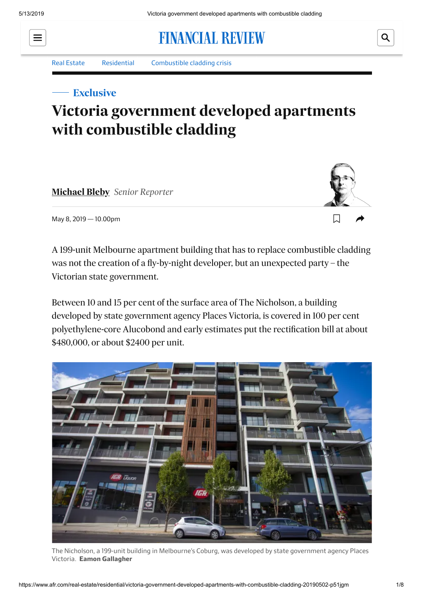# **FINANCIAL REVIEW**

#### [Real Estate](https://www.afr.com/real-estate) [Residential](https://www.afr.com/real-estate/residential) [Combustible cladding crisis](https://www.afr.com/topic/combustible-cladding-crisis-1myi)

### **Exclusive**

## **Victoria government developed apartments with combustible cladding**

**[Michael Bleby](https://www.afr.com/by/michael-bleby-j67se)** *Senior Reporter*



Q

May 8, 2019 — 10.00pm

A 199-unit Melbourne apartment building that has to replace combustible cladding was not the creation of a fly-by-night developer, but an unexpected party – the Victorian state government.

Between 10 and 15 per cent of the surface area of The Nicholson, a building developed by state government agency Places Victoria, is covered in 100 per cent polyethylene-core Alucobond and early estimates put the rectification bill at about \$480,000, or about \$2400 per unit.



The Nicholson, a 199-unit building in Melbourne's Coburg, was developed by state government agency Places Victoria. **Eamon Gallagher**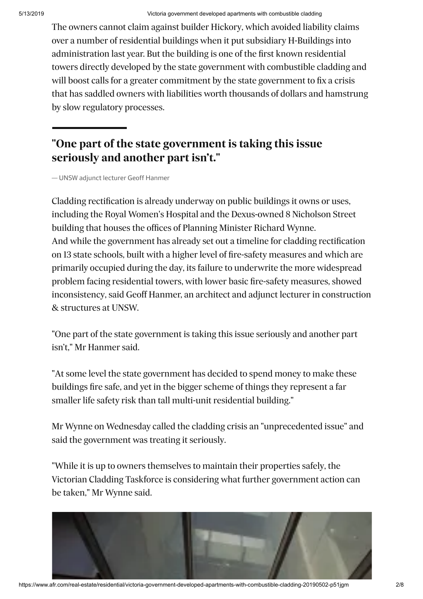The owners cannot claim against builder Hickory, which avoided liability claims over a number of residential buildings when it put subsidiary H-Buildings into administration last year. But the building is one of the first known residential towers directly developed by the state government with combustible cladding and will boost calls for a greater commitment by the state government to fix a crisis that has saddled owners with liabilities worth thousands of dollars and hamstrung by slow regulatory processes.

### **"One part of the state government is taking this issue seriously and another part isn't."**

— UNSW adjunct lecturer Geoff Hanmer

Cladding rectification is already underway on public buildings it owns or uses, including the Royal Women's Hospital and the Dexus-owned 8 Nicholson Street building that houses the offices of Planning Minister Richard Wynne. And while the government has already set out a timeline for cladding rectification on 13 state schools, built with a higher level of fire-safety measures and which are primarily occupied during the day, its failure to underwrite the more widespread problem facing residential towers, with lower basic fire-safety measures, showed inconsistency, said Geoff Hanmer, an architect and adjunct lecturer in construction & structures at UNSW.

"One part of the state government is taking this issue seriously and another part isn't," Mr Hanmer said.

"At some level the state government has decided to spend money to make these buildings fire safe, and yet in the bigger scheme of things they represent a far smaller life safety risk than tall multi-unit residential building."

Mr Wynne on Wednesday called the cladding crisis an "unprecedented issue" and said the government was treating it seriously.

"While it is up to owners themselves to maintain their properties safely, the Victorian Cladding Taskforce is considering what further government action can be taken," Mr Wynne said.

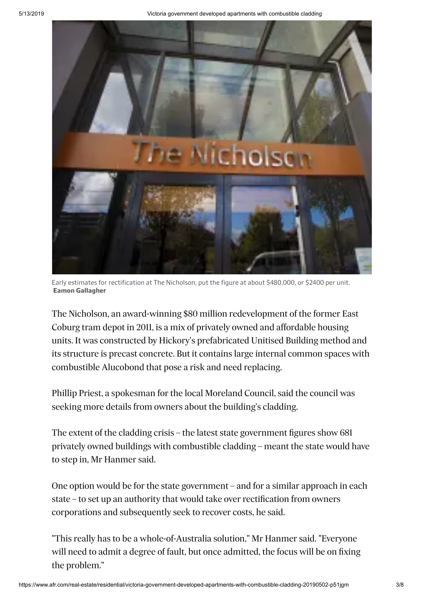

Early estimates for rectification at The Nicholson, put the figure at about \$480,000, or \$2400 per unit. **Eamon Gallagher**

The Nicholson, an award-winning \$80 million redevelopment of the former East Coburg tram depot in 2011, is a mix of privately owned and affordable housing units. It was constructed by Hickory's prefabricated Unitised Building method and its structure is precast concrete. But it contains large internal common spaces with combustible Alucobond that pose a risk and need replacing.

Phillip Priest, a spokesman for the local Moreland Council, said the council was seeking more details from owners about the building's cladding.

The extent of the cladding crisis – the latest state government figures show 681 privately owned buildings with combustible cladding – meant the state would have to step in, Mr Hanmer said.

One option would be for the state government – and for a similar approach in each state – to set up an authority that would take over rectification from owners corporations and subsequently seek to recover costs, he said.

"This really has to be a whole-of-Australia solution," Mr Hanmer said. "Everyone will need to admit a degree of fault, but once admitted, the focus will be on fixing the problem."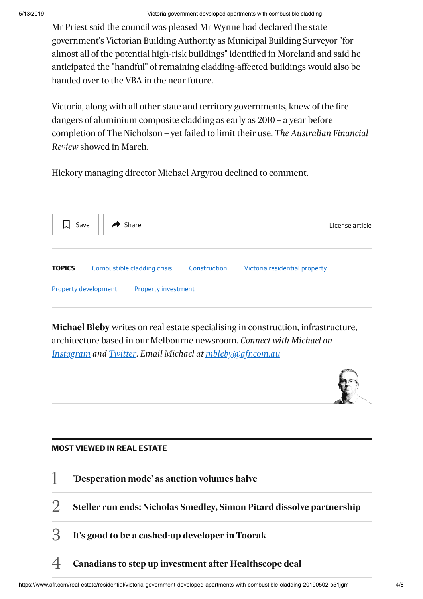Mr Priest said the council was pleased Mr Wynne had declared the state government's Victorian Building Authority as Municipal Building Surveyor "for almost all of the potential high-risk buildings" identified in Moreland and said he anticipated the "handful" of remaining cladding-affected buildings would also be handed over to the VBA in the near future.

Victoria, along with all other state and territory governments, knew of the fire dangers of aluminium composite cladding as early as 2010 – a year before completion of The Nicholson – yet failed to limit their use, *The Australian Financial Review* showed in March.

Hickory managing director Michael Argyrou declined to comment.



**[Michael Bleby](https://www.afr.com/by/michael-bleby-j67se)** writes on real estate specialising in construction, infrastructure, architecture based in our Melbourne newsroom. *Connect with Michael on [Instagram](https://instagram.com/michaelbleby) and [Twitter.](https://twitter.com/MichaelBleby?lang=en) Email Michael at [mbleby@afr.com.au](mailto:mbleby@afr.com.au)*



#### **MOST VIEWED IN REAL ESTATE**